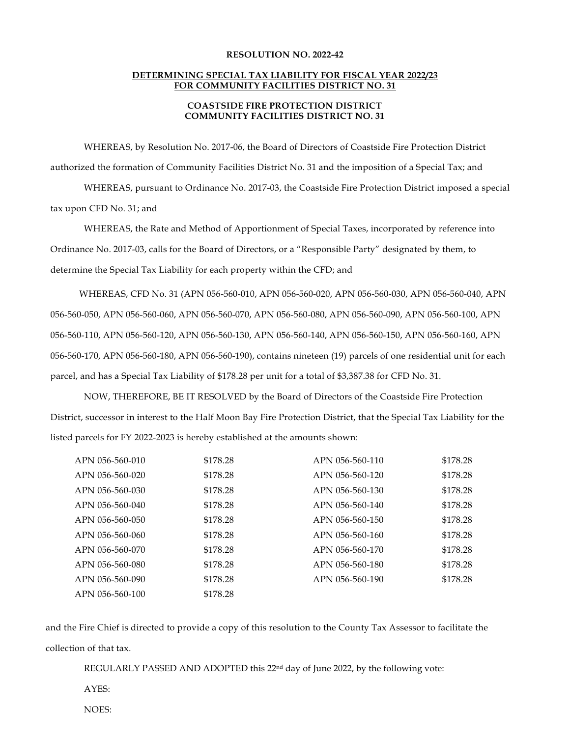## **RESOLUTION NO. 2022-42**

## **DETERMINING SPECIAL TAX LIABILITY FOR FISCAL YEAR 2022/23 FOR COMMUNITY FACILITIES DISTRICT NO. 31**

## **COASTSIDE FIRE PROTECTION DISTRICT COMMUNITY FACILITIES DISTRICT NO. 31**

WHEREAS, by Resolution No. 2017-06, the Board of Directors of Coastside Fire Protection District authorized the formation of Community Facilities District No. 31 and the imposition of a Special Tax; and

WHEREAS, pursuant to Ordinance No. 2017-03, the Coastside Fire Protection District imposed a special tax upon CFD No. 31; and

WHEREAS, the Rate and Method of Apportionment of Special Taxes, incorporated by reference into Ordinance No. 2017-03, calls for the Board of Directors, or a "Responsible Party" designated by them, to determine the Special Tax Liability for each property within the CFD; and

WHEREAS, CFD No. 31 (APN 056-560-010, APN 056-560-020, APN 056-560-030, APN 056-560-040, APN 056-560-050, APN 056-560-060, APN 056-560-070, APN 056-560-080, APN 056-560-090, APN 056-560-100, APN 056-560-110, APN 056-560-120, APN 056-560-130, APN 056-560-140, APN 056-560-150, APN 056-560-160, APN 056-560-170, APN 056-560-180, APN 056-560-190), contains nineteen (19) parcels of one residential unit for each parcel, and has a Special Tax Liability of \$178.28 per unit for a total of \$3,387.38 for CFD No. 31.

NOW, THEREFORE, BE IT RESOLVED by the Board of Directors of the Coastside Fire Protection District, successor in interest to the Half Moon Bay Fire Protection District, that the Special Tax Liability for the listed parcels for FY 2022-2023 is hereby established at the amounts shown:

| APN 056-560-010 | \$178.28 | APN 056-560-110 | \$178.28 |
|-----------------|----------|-----------------|----------|
| APN 056-560-020 | \$178.28 | APN 056-560-120 | \$178.28 |
| APN 056-560-030 | \$178.28 | APN 056-560-130 | \$178.28 |
| APN 056-560-040 | \$178.28 | APN 056-560-140 | \$178.28 |
| APN 056-560-050 | \$178.28 | APN 056-560-150 | \$178.28 |
| APN 056-560-060 | \$178.28 | APN 056-560-160 | \$178.28 |
| APN 056-560-070 | \$178.28 | APN 056-560-170 | \$178.28 |
| APN 056-560-080 | \$178.28 | APN 056-560-180 | \$178.28 |
| APN 056-560-090 | \$178.28 | APN 056-560-190 | \$178.28 |
| APN 056-560-100 | \$178.28 |                 |          |

and the Fire Chief is directed to provide a copy of this resolution to the County Tax Assessor to facilitate the collection of that tax.

REGULARLY PASSED AND ADOPTED this  $22<sup>nd</sup>$  day of June 2022, by the following vote:

AYES:

NOES: